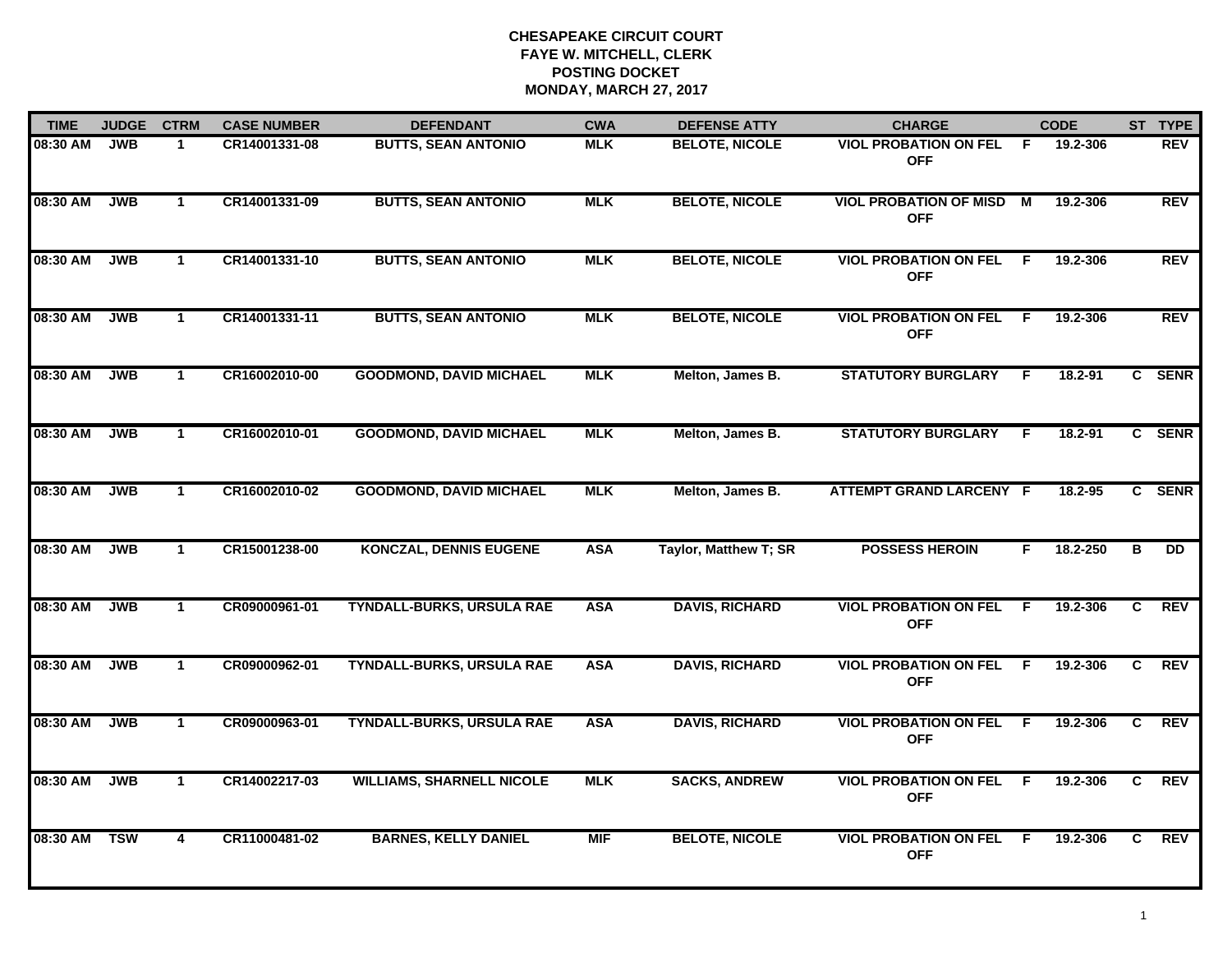| <b>TIME</b> | <b>JUDGE</b> | <b>CTRM</b>          | <b>CASE NUMBER</b> | <b>DEFENDANT</b>                 | <b>CWA</b> | <b>DEFENSE ATTY</b>   | <b>CHARGE</b>                                |                | <b>CODE</b> |                | ST TYPE    |
|-------------|--------------|----------------------|--------------------|----------------------------------|------------|-----------------------|----------------------------------------------|----------------|-------------|----------------|------------|
| 08:30 AM    | <b>JWB</b>   | 1                    | CR14001331-08      | <b>BUTTS, SEAN ANTONIO</b>       | <b>MLK</b> | <b>BELOTE, NICOLE</b> | <b>VIOL PROBATION ON FEL</b><br><b>OFF</b>   | F.             | 19.2-306    |                | REV        |
| 08:30 AM    | <b>JWB</b>   | $\mathbf{1}$         | CR14001331-09      | <b>BUTTS, SEAN ANTONIO</b>       | <b>MLK</b> | <b>BELOTE, NICOLE</b> | <b>VIOL PROBATION OF MISD</b><br><b>OFF</b>  | $\blacksquare$ | 19.2-306    |                | <b>REV</b> |
| 08:30 AM    | <b>JWB</b>   | $\mathbf{1}$         | CR14001331-10      | <b>BUTTS, SEAN ANTONIO</b>       | <b>MLK</b> | <b>BELOTE, NICOLE</b> | <b>VIOL PROBATION ON FEL</b><br><b>OFF</b>   | F.             | 19.2-306    |                | <b>REV</b> |
| 08:30 AM    | <b>JWB</b>   | $\blacktriangleleft$ | CR14001331-11      | <b>BUTTS, SEAN ANTONIO</b>       | <b>MLK</b> | <b>BELOTE, NICOLE</b> | <b>VIOL PROBATION ON FEL</b><br><b>OFF</b>   | -F             | 19.2-306    |                | <b>REV</b> |
| 08:30 AM    | <b>JWB</b>   | $\mathbf{1}$         | CR16002010-00      | <b>GOODMOND, DAVID MICHAEL</b>   | <b>MLK</b> | Melton, James B.      | <b>STATUTORY BURGLARY</b>                    | F              | 18.2-91     |                | C SENR     |
| 08:30 AM    | <b>JWB</b>   | $\mathbf{1}$         | CR16002010-01      | <b>GOODMOND, DAVID MICHAEL</b>   | <b>MLK</b> | Melton, James B.      | <b>STATUTORY BURGLARY</b>                    | F.             | 18.2-91     |                | C SENR     |
| 08:30 AM    | <b>JWB</b>   | $\mathbf{1}$         | CR16002010-02      | <b>GOODMOND, DAVID MICHAEL</b>   | <b>MLK</b> | Melton, James B.      | ATTEMPT GRAND LARCENY F                      |                | 18.2-95     |                | C SENR     |
| 08:30 AM    | <b>JWB</b>   | $\mathbf 1$          | CR15001238-00      | <b>KONCZAL, DENNIS EUGENE</b>    | <b>ASA</b> | Taylor, Matthew T; SR | <b>POSSESS HEROIN</b>                        | F.             | 18.2-250    | в              | <b>DD</b>  |
| 08:30 AM    | <b>JWB</b>   | $\blacktriangleleft$ | CR09000961-01      | <b>TYNDALL-BURKS, URSULA RAE</b> | <b>ASA</b> | <b>DAVIS, RICHARD</b> | <b>VIOL PROBATION ON FEL</b><br><b>OFF</b>   | F              | 19.2-306    | C              | <b>REV</b> |
| 08:30 AM    | <b>JWB</b>   | $\mathbf{1}$         | CR09000962-01      | <b>TYNDALL-BURKS, URSULA RAE</b> | <b>ASA</b> | <b>DAVIS, RICHARD</b> | <b>VIOL PROBATION ON FEL</b><br><b>OFF</b>   | -F             | 19.2-306    | C              | <b>REV</b> |
| 08:30 AM    | <b>JWB</b>   | $\mathbf{1}$         | CR09000963-01      | <b>TYNDALL-BURKS, URSULA RAE</b> | <b>ASA</b> | <b>DAVIS, RICHARD</b> | <b>VIOL PROBATION ON FEL F</b><br><b>OFF</b> |                | 19.2-306    | C              | REV        |
| 08:30 AM    | <b>JWB</b>   | $\mathbf{1}$         | CR14002217-03      | <b>WILLIAMS, SHARNELL NICOLE</b> | <b>MLK</b> | <b>SACKS, ANDREW</b>  | <b>VIOL PROBATION ON FEL</b><br><b>OFF</b>   | F.             | 19.2-306    | $\overline{c}$ | <b>REV</b> |
| 08:30 AM    | <b>TSW</b>   | 4                    | CR11000481-02      | <b>BARNES, KELLY DANIEL</b>      | <b>MIF</b> | <b>BELOTE, NICOLE</b> | <b>VIOL PROBATION ON FEL</b><br><b>OFF</b>   | E              | 19.2-306    | C.             | <b>REV</b> |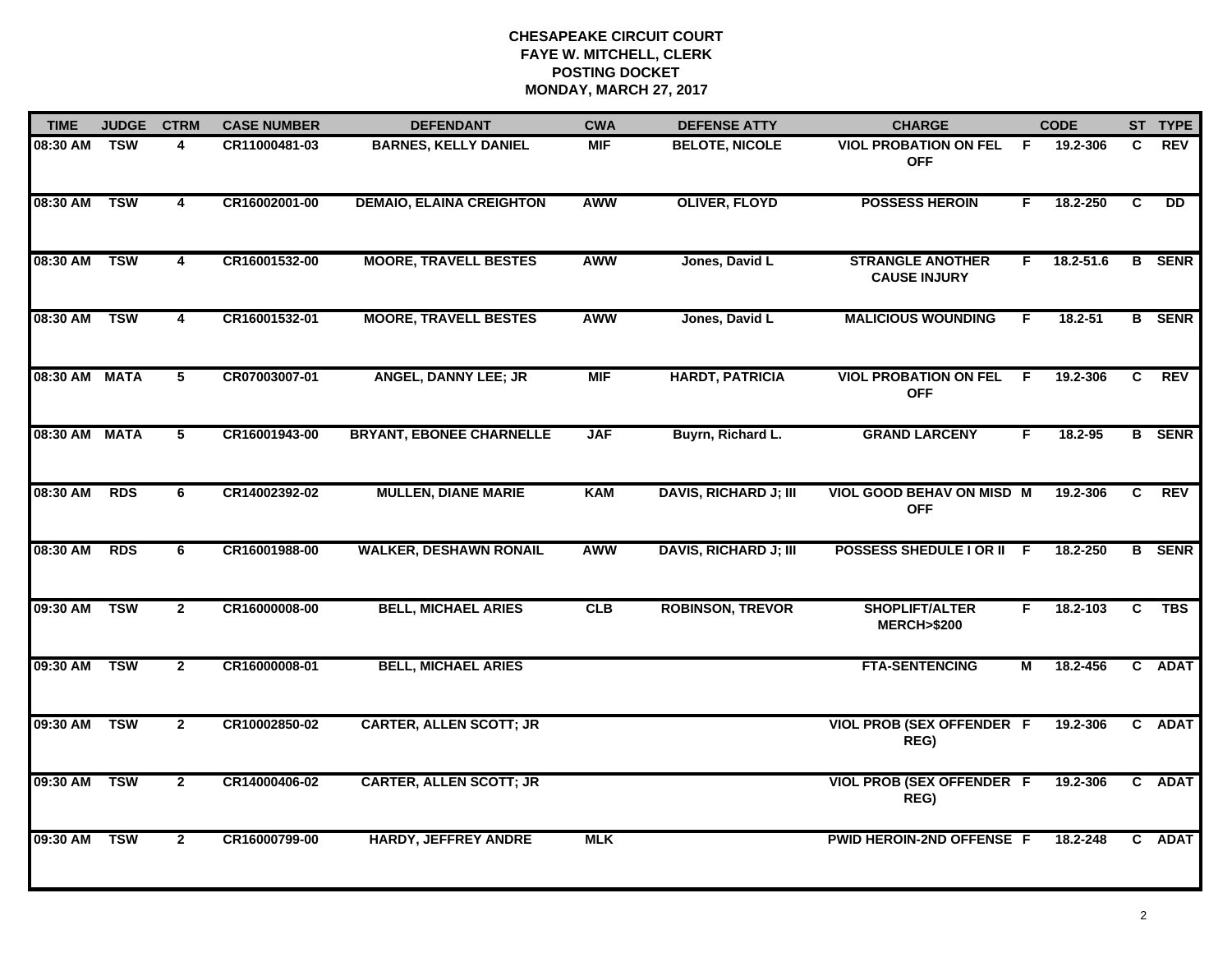| <b>TIME</b>   | <b>JUDGE</b> | <b>CTRM</b>             | <b>CASE NUMBER</b> | <b>DEFENDANT</b>                | <b>CWA</b> | <b>DEFENSE ATTY</b>          | <b>CHARGE</b>                                  |    | <b>CODE</b> |                | ST TYPE       |
|---------------|--------------|-------------------------|--------------------|---------------------------------|------------|------------------------------|------------------------------------------------|----|-------------|----------------|---------------|
| 08:30 AM      | <b>TSW</b>   | 4                       | CR11000481-03      | <b>BARNES, KELLY DANIEL</b>     | <b>MIF</b> | <b>BELOTE, NICOLE</b>        | <b>VIOL PROBATION ON FEL</b><br><b>OFF</b>     | F  | 19.2-306    | C              | <b>REV</b>    |
| 08:30 AM      | <b>TSW</b>   | $\overline{\mathbf{4}}$ | CR16002001-00      | <b>DEMAIO, ELAINA CREIGHTON</b> | <b>AWW</b> | <b>OLIVER, FLOYD</b>         | <b>POSSESS HEROIN</b>                          | F. | 18.2-250    | $\overline{c}$ | DD            |
| 08:30 AM      | <b>TSW</b>   | 4                       | CR16001532-00      | <b>MOORE, TRAVELL BESTES</b>    | <b>AWW</b> | Jones, David L               | <b>STRANGLE ANOTHER</b><br><b>CAUSE INJURY</b> | F. | 18.2-51.6   | B              | <b>SENR</b>   |
| 08:30 AM      | <b>TSW</b>   | 4                       | CR16001532-01      | <b>MOORE, TRAVELL BESTES</b>    | <b>AWW</b> | Jones, David L               | <b>MALICIOUS WOUNDING</b>                      | F. | $18.2 - 51$ |                | <b>B</b> SENR |
| 08:30 AM MATA |              | 5                       | CR07003007-01      | <b>ANGEL, DANNY LEE; JR</b>     | <b>MIF</b> | <b>HARDT, PATRICIA</b>       | <b>VIOL PROBATION ON FEL</b><br><b>OFF</b>     | -F | 19.2-306    | C              | <b>REV</b>    |
| 08:30 AM MATA |              | $\overline{5}$          | CR16001943-00      | <b>BRYANT, EBONEE CHARNELLE</b> | <b>JAF</b> | Buyrn, Richard L.            | <b>GRAND LARCENY</b>                           | F. | 18.2-95     |                | <b>B</b> SENR |
| 08:30 AM      | <b>RDS</b>   | 6                       | CR14002392-02      | <b>MULLEN, DIANE MARIE</b>      | <b>KAM</b> | <b>DAVIS, RICHARD J; III</b> | <b>VIOL GOOD BEHAV ON MISD M</b><br><b>OFF</b> |    | 19.2-306    | C              | <b>REV</b>    |
| 08:30 AM      | <b>RDS</b>   | 6                       | CR16001988-00      | <b>WALKER, DESHAWN RONAIL</b>   | <b>AWW</b> | <b>DAVIS, RICHARD J; III</b> | POSSESS SHEDULE I OR II F                      |    | 18.2-250    |                | <b>B</b> SENR |
| 09:30 AM      | <b>TSW</b>   | $\overline{2}$          | CR16000008-00      | <b>BELL, MICHAEL ARIES</b>      | CLB        | <b>ROBINSON, TREVOR</b>      | <b>SHOPLIFT/ALTER</b><br><b>MERCH&gt;\$200</b> | F. | 18.2-103    | C              | <b>TBS</b>    |
| 09:30 AM TSW  |              | $\mathbf{2}$            | CR16000008-01      | <b>BELL, MICHAEL ARIES</b>      |            |                              | <b>FTA-SENTENCING</b>                          | М  | 18.2-456    |                | C ADAT        |
| 09:30 AM      | <b>TSW</b>   | $\overline{2}$          | CR10002850-02      | <b>CARTER, ALLEN SCOTT; JR</b>  |            |                              | <b>VIOL PROB (SEX OFFENDER F</b><br>REG)       |    | 19.2-306    |                | C ADAT        |
| 09:30 AM      | <b>TSW</b>   | $\overline{2}$          | CR14000406-02      | <b>CARTER, ALLEN SCOTT; JR</b>  |            |                              | <b>VIOL PROB (SEX OFFENDER F</b><br>REG)       |    | 19.2-306    |                | C ADAT        |
| 09:30 AM      | <b>TSW</b>   | $\mathbf{2}$            | CR16000799-00      | <b>HARDY, JEFFREY ANDRE</b>     | <b>MLK</b> |                              | PWID HEROIN-2ND OFFENSE F                      |    | 18.2-248    | C.             | <b>ADAT</b>   |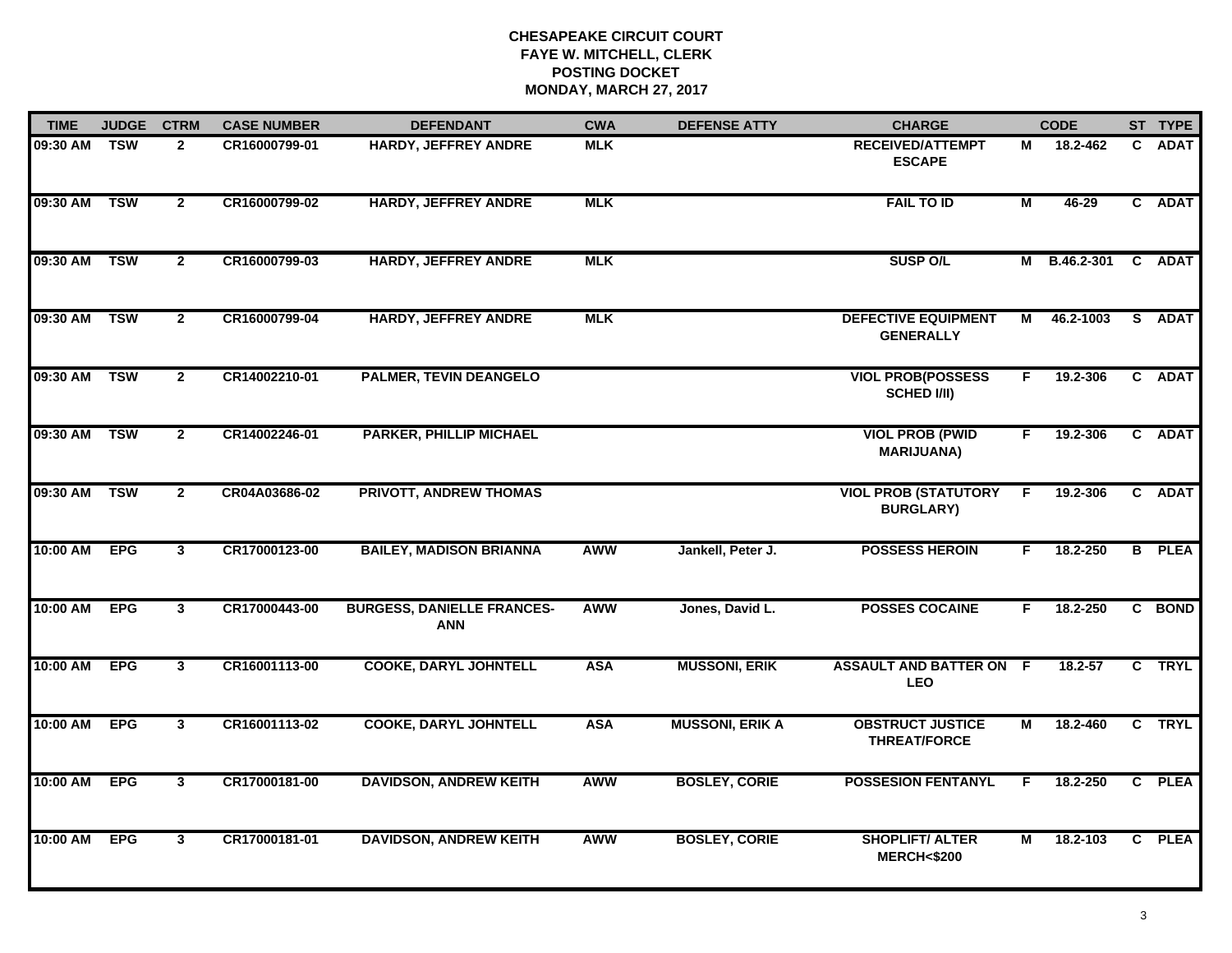| <b>TIME</b>  | <b>JUDGE</b> | <b>CTRM</b>    | <b>CASE NUMBER</b> | <b>DEFENDANT</b>                                | <b>CWA</b> | <b>DEFENSE ATTY</b>    | <b>CHARGE</b>                                   |                | <b>CODE</b>  |              | ST TYPE       |
|--------------|--------------|----------------|--------------------|-------------------------------------------------|------------|------------------------|-------------------------------------------------|----------------|--------------|--------------|---------------|
| 09:30 AM TSW |              | $\mathbf{2}$   | CR16000799-01      | <b>HARDY, JEFFREY ANDRE</b>                     | <b>MLK</b> |                        | <b>RECEIVED/ATTEMPT</b><br><b>ESCAPE</b>        | м              | 18.2-462     | $\mathbf{c}$ | <b>ADAT</b>   |
| 09:30 AM     | <b>TSW</b>   | $\overline{2}$ | CR16000799-02      | <b>HARDY, JEFFREY ANDRE</b>                     | <b>MLK</b> |                        | <b>FAIL TO ID</b>                               | $\overline{M}$ | $46 - 29$    |              | C ADAT        |
| 09:30 AM     | <b>TSW</b>   | $\overline{2}$ | CR16000799-03      | <b>HARDY, JEFFREY ANDRE</b>                     | <b>MLK</b> |                        | <b>SUSP O/L</b>                                 |                | M B.46.2-301 |              | C ADAT        |
| 09:30 AM     | <b>TSW</b>   | $\overline{2}$ | CR16000799-04      | <b>HARDY, JEFFREY ANDRE</b>                     | <b>MLK</b> |                        | <b>DEFECTIVE EQUIPMENT</b><br><b>GENERALLY</b>  | М              | 46.2-1003    |              | S ADAT        |
| 09:30 AM     | <b>TSW</b>   | $\mathbf{2}$   | CR14002210-01      | <b>PALMER, TEVIN DEANGELO</b>                   |            |                        | <b>VIOL PROB(POSSESS</b><br><b>SCHED I/II)</b>  | F.             | 19.2-306     |              | C ADAT        |
| 09:30 AM     | <b>TSW</b>   | $\mathbf{2}$   | CR14002246-01      | <b>PARKER, PHILLIP MICHAEL</b>                  |            |                        | <b>VIOL PROB (PWID</b><br><b>MARIJUANA)</b>     | F.             | 19.2-306     |              | C ADAT        |
| 09:30 AM     | <b>TSW</b>   | $\overline{2}$ | CR04A03686-02      | <b>PRIVOTT, ANDREW THOMAS</b>                   |            |                        | <b>VIOL PROB (STATUTORY</b><br><b>BURGLARY)</b> | F.             | 19.2-306     |              | C ADAT        |
| 10:00 AM     | <b>EPG</b>   | 3              | CR17000123-00      | <b>BAILEY, MADISON BRIANNA</b>                  | <b>AWW</b> | Jankell, Peter J.      | <b>POSSESS HEROIN</b>                           | F.             | 18.2-250     |              | <b>B</b> PLEA |
| 10:00 AM     | <b>EPG</b>   | 3              | CR17000443-00      | <b>BURGESS, DANIELLE FRANCES-</b><br><b>ANN</b> | <b>AWW</b> | Jones, David L.        | <b>POSSES COCAINE</b>                           | F              | 18.2-250     |              | C BOND        |
| 10:00 AM     | <b>EPG</b>   | $\mathbf{3}$   | CR16001113-00      | <b>COOKE, DARYL JOHNTELL</b>                    | <b>ASA</b> | <b>MUSSONI, ERIK</b>   | <b>ASSAULT AND BATTER ON F</b><br><b>LEO</b>    |                | $18.2 - 57$  |              | C TRYL        |
| 10:00 AM     | <b>EPG</b>   | $\mathbf{3}$   | CR16001113-02      | <b>COOKE, DARYL JOHNTELL</b>                    | <b>ASA</b> | <b>MUSSONI, ERIK A</b> | <b>OBSTRUCT JUSTICE</b><br><b>THREAT/FORCE</b>  | М              | 18.2-460     |              | C TRYL        |
| 10:00 AM     | <b>EPG</b>   | $\overline{3}$ | CR17000181-00      | <b>DAVIDSON, ANDREW KEITH</b>                   | <b>AWW</b> | <b>BOSLEY, CORIE</b>   | <b>POSSESION FENTANYL</b>                       | F.             | 18.2-250     |              | C PLEA        |
| 10:00 AM     | <b>EPG</b>   | $\mathbf{3}$   | CR17000181-01      | <b>DAVIDSON, ANDREW KEITH</b>                   | <b>AWW</b> | <b>BOSLEY, CORIE</b>   | <b>SHOPLIFT/ ALTER</b><br><b>MERCH&lt;\$200</b> | М              | 18.2-103     |              | C PLEA        |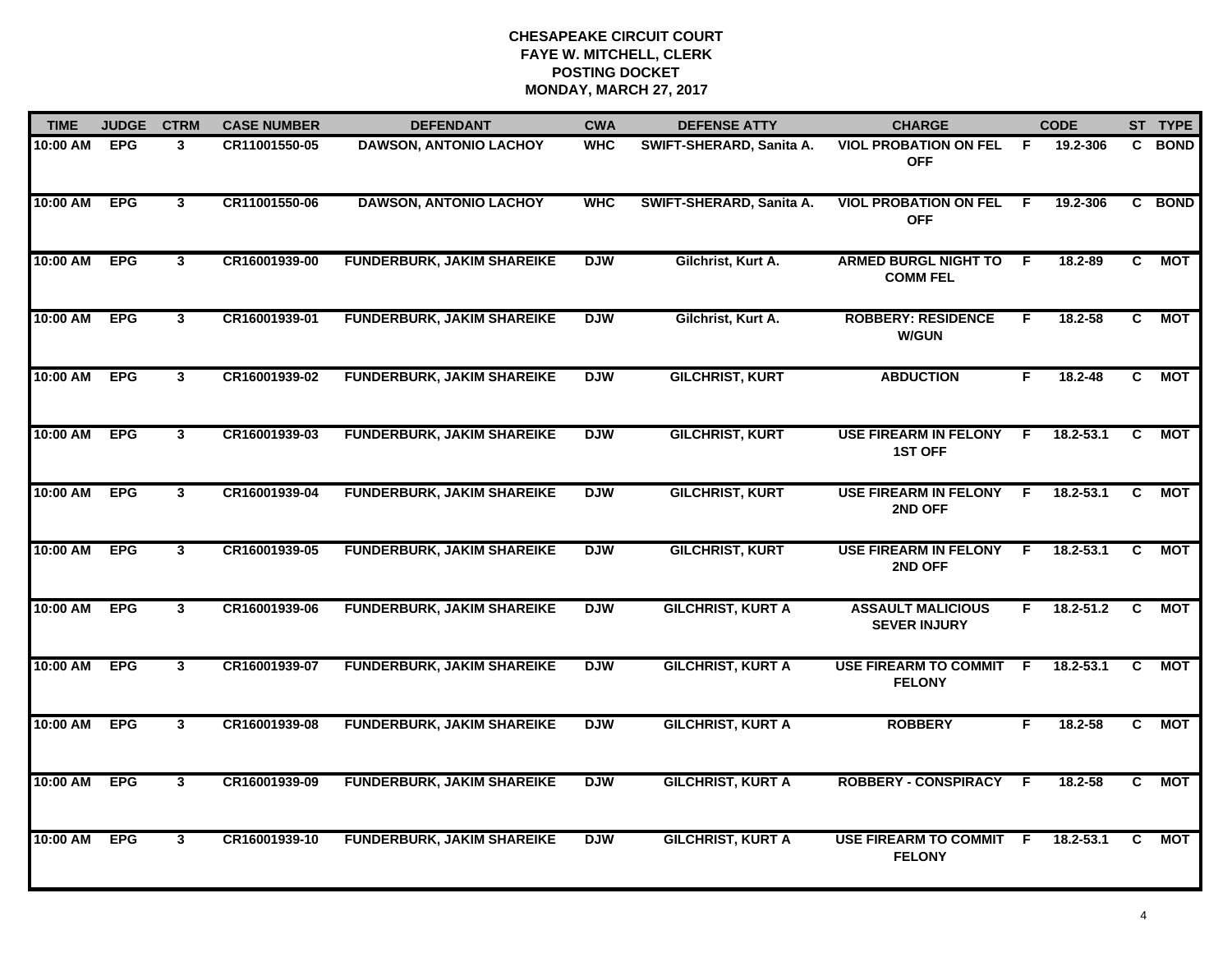| <b>TIME</b> | <b>JUDGE</b> | <b>CTRM</b>    | <b>CASE NUMBER</b> | <b>DEFENDANT</b>                  | <b>CWA</b> | <b>DEFENSE ATTY</b>      | <b>CHARGE</b>                                   |     | <b>CODE</b>   |                | ST TYPE    |
|-------------|--------------|----------------|--------------------|-----------------------------------|------------|--------------------------|-------------------------------------------------|-----|---------------|----------------|------------|
| 10:00 AM    | <b>EPG</b>   | 3              | CR11001550-05      | <b>DAWSON, ANTONIO LACHOY</b>     | <b>WHC</b> | SWIFT-SHERARD, Sanita A. | <b>VIOL PROBATION ON FEL</b><br><b>OFF</b>      | -F. | 19.2-306      |                | C BOND     |
| 10:00 AM    | <b>EPG</b>   | $\mathbf{3}$   | CR11001550-06      | <b>DAWSON, ANTONIO LACHOY</b>     | <b>WHC</b> | SWIFT-SHERARD, Sanita A. | <b>VIOL PROBATION ON FEL</b><br><b>OFF</b>      | -F  | 19.2-306      |                | C BOND     |
| 10:00 AM    | <b>EPG</b>   | $\mathbf{3}$   | CR16001939-00      | <b>FUNDERBURK, JAKIM SHAREIKE</b> | <b>DJW</b> | Gilchrist, Kurt A.       | <b>ARMED BURGL NIGHT TO</b><br><b>COMM FEL</b>  | -F  | 18.2-89       | C.             | <b>MOT</b> |
| 10:00 AM    | <b>EPG</b>   | $\mathbf{3}$   | CR16001939-01      | <b>FUNDERBURK, JAKIM SHAREIKE</b> | <b>DJW</b> | Gilchrist, Kurt A.       | <b>ROBBERY: RESIDENCE</b><br><b>W/GUN</b>       | F.  | 18.2-58       | C.             | МОТ        |
| 10:00 AM    | <b>EPG</b>   | $\mathbf{3}$   | CR16001939-02      | <b>FUNDERBURK, JAKIM SHAREIKE</b> | <b>DJW</b> | <b>GILCHRIST, KURT</b>   | <b>ABDUCTION</b>                                | F.  | $18.2 - 48$   | C.             | <b>MOT</b> |
| 10:00 AM    | <b>EPG</b>   | $\mathbf{3}$   | CR16001939-03      | <b>FUNDERBURK, JAKIM SHAREIKE</b> | <b>DJW</b> | <b>GILCHRIST, KURT</b>   | <b>USE FIREARM IN FELONY</b><br><b>1ST OFF</b>  | - F | $18.2 - 53.1$ | C.             | NOT        |
| 10:00 AM    | <b>EPG</b>   | 3              | CR16001939-04      | <b>FUNDERBURK, JAKIM SHAREIKE</b> | <b>DJW</b> | <b>GILCHRIST, KURT</b>   | <b>USE FIREARM IN FELONY</b><br>2ND OFF         | F.  | $18.2 - 53.1$ | $\overline{c}$ | <b>MOT</b> |
| 10:00 AM    | <b>EPG</b>   | $\mathbf{3}$   | CR16001939-05      | <b>FUNDERBURK, JAKIM SHAREIKE</b> | <b>DJW</b> | <b>GILCHRIST, KURT</b>   | <b>USE FIREARM IN FELONY</b><br>2ND OFF         | F.  | 18.2-53.1     | C              | <b>MOT</b> |
| $10:00$ AM  | <b>EPG</b>   | $\mathbf{3}$   | CR16001939-06      | <b>FUNDERBURK, JAKIM SHAREIKE</b> | <b>DJW</b> | <b>GILCHRIST, KURT A</b> | <b>ASSAULT MALICIOUS</b><br><b>SEVER INJURY</b> | F.  | 18.2-51.2     | C              | MOT        |
| 10:00 AM    | <b>EPG</b>   | $\mathbf{3}$   | CR16001939-07      | <b>FUNDERBURK, JAKIM SHAREIKE</b> | <b>DJW</b> | <b>GILCHRIST, KURT A</b> | <b>USE FIREARM TO COMMIT</b><br><b>FELONY</b>   | E   | $18.2 - 53.1$ | C.             | MOT        |
| 10:00 AM    | <b>EPG</b>   | $\mathbf{3}$   | CR16001939-08      | <b>FUNDERBURK, JAKIM SHAREIKE</b> | <b>DJW</b> | <b>GILCHRIST, KURT A</b> | <b>ROBBERY</b>                                  | F.  | 18.2-58       | C.             | <b>MOT</b> |
| 10:00 AM    | <b>EPG</b>   | $\overline{3}$ | CR16001939-09      | <b>FUNDERBURK, JAKIM SHAREIKE</b> | <b>DJW</b> | <b>GILCHRIST, KURT A</b> | <b>ROBBERY - CONSPIRACY</b>                     | F.  | $18.2 - 58$   | $\overline{c}$ | <b>MOT</b> |
| 10:00 AM    | <b>EPG</b>   | $\mathbf{3}$   | CR16001939-10      | <b>FUNDERBURK, JAKIM SHAREIKE</b> | <b>DJW</b> | <b>GILCHRIST, KURT A</b> | USE FIREARM TO COMMIT F<br><b>FELONY</b>        |     | 18.2-53.1     | C              | MOT        |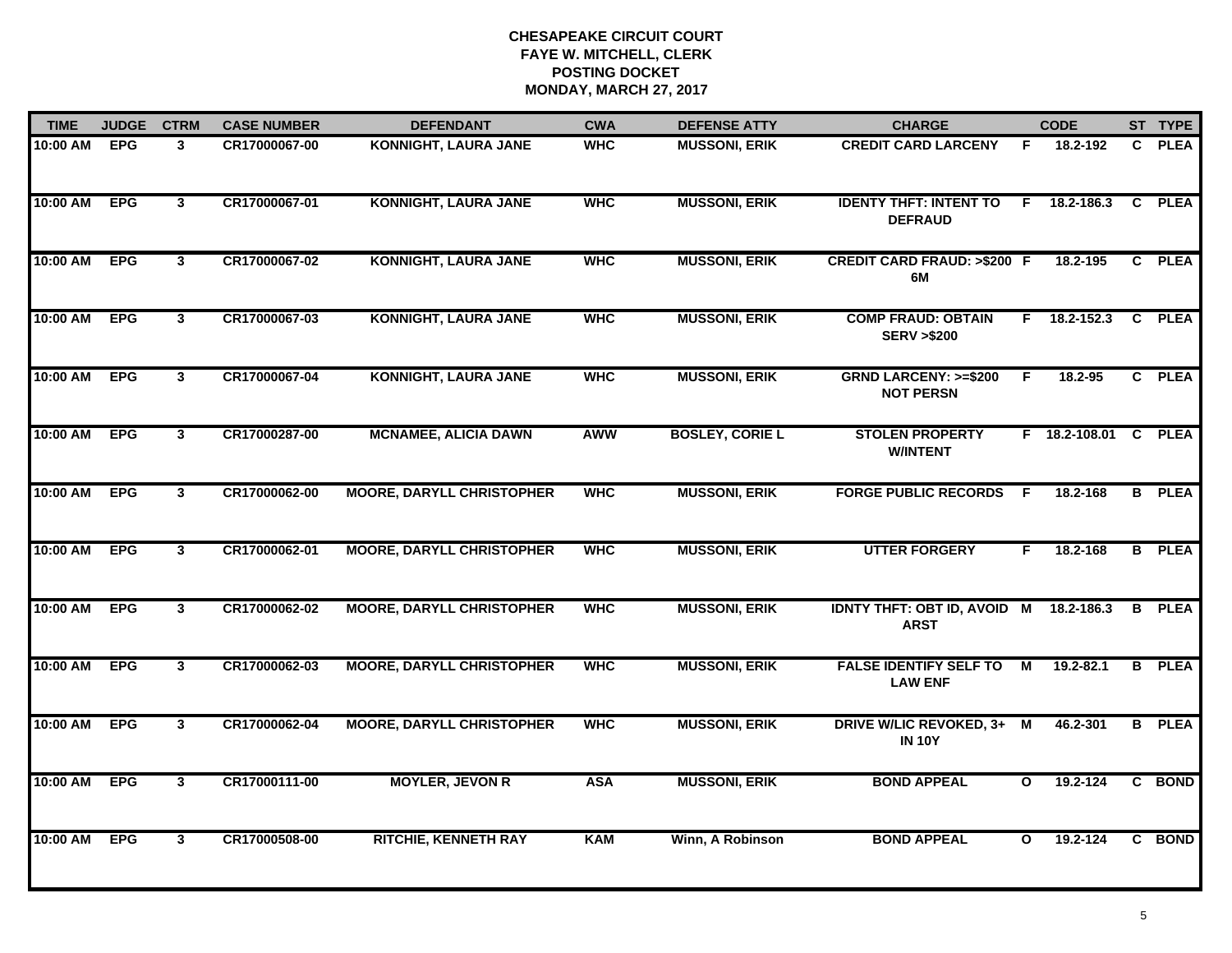| <b>TIME</b> | <b>JUDGE</b> | <b>CTRM</b>  | <b>CASE NUMBER</b> | <b>DEFENDANT</b>                 | <b>CWA</b> | <b>DEFENSE ATTY</b>    | <b>CHARGE</b>                                       |              | <b>CODE</b>          |                | ST TYPE       |
|-------------|--------------|--------------|--------------------|----------------------------------|------------|------------------------|-----------------------------------------------------|--------------|----------------------|----------------|---------------|
| 10:00 AM    | <b>EPG</b>   | 3            | CR17000067-00      | <b>KONNIGHT, LAURA JANE</b>      | <b>WHC</b> | <b>MUSSONI, ERIK</b>   | <b>CREDIT CARD LARCENY</b>                          | F            | 18.2-192             | C.             | <b>PLEA</b>   |
| 10:00 AM    | <b>EPG</b>   | $\mathbf{3}$ | CR17000067-01      | <b>KONNIGHT, LAURA JANE</b>      | <b>WHC</b> | <b>MUSSONI, ERIK</b>   | <b>IDENTY THFT: INTENT TO</b><br><b>DEFRAUD</b>     |              | $F = 18.2 - 186.3$   | C              | <b>PLEA</b>   |
| 10:00 AM    | <b>EPG</b>   | $\mathbf{3}$ | CR17000067-02      | <b>KONNIGHT, LAURA JANE</b>      | <b>WHC</b> | <b>MUSSONI, ERIK</b>   | <b>CREDIT CARD FRAUD: &gt;\$200 F</b><br>6M         |              | 18.2-195             |                | C PLEA        |
| 10:00 AM    | <b>EPG</b>   | $\mathbf{3}$ | CR17000067-03      | <b>KONNIGHT, LAURA JANE</b>      | <b>WHC</b> | <b>MUSSONI, ERIK</b>   | <b>COMP FRAUD: OBTAIN</b><br><b>SERV &gt;\$200</b>  | F.           | 18.2-152.3           | C.             | <b>PLEA</b>   |
| 10:00 AM    | <b>EPG</b>   | $\mathbf{3}$ | CR17000067-04      | <b>KONNIGHT, LAURA JANE</b>      | <b>WHC</b> | <b>MUSSONI, ERIK</b>   | <b>GRND LARCENY: &gt;=\$200</b><br><b>NOT PERSN</b> | F            | $18.2 - 95$          |                | C PLEA        |
| 10:00 AM    | <b>EPG</b>   | $\mathbf{3}$ | CR17000287-00      | <b>MCNAMEE, ALICIA DAWN</b>      | AWW        | <b>BOSLEY, CORIE L</b> | <b>STOLEN PROPERTY</b><br><b>W/INTENT</b>           |              | F 18.2-108.01 C PLEA |                |               |
| 10:00 AM    | <b>EPG</b>   | 3            | CR17000062-00      | <b>MOORE, DARYLL CHRISTOPHER</b> | <b>WHC</b> | <b>MUSSONI, ERIK</b>   | <b>FORGE PUBLIC RECORDS</b>                         | - F          | 18.2-168             | $\overline{B}$ | <b>PLEA</b>   |
| 10:00 AM    | <b>EPG</b>   | $\mathbf{3}$ | CR17000062-01      | <b>MOORE, DARYLL CHRISTOPHER</b> | <b>WHC</b> | <b>MUSSONI, ERIK</b>   | <b>UTTER FORGERY</b>                                | F            | 18.2-168             |                | <b>B</b> PLEA |
| 10:00 AM    | <b>EPG</b>   | $\mathbf{3}$ | CR17000062-02      | <b>MOORE, DARYLL CHRISTOPHER</b> | <b>WHC</b> | <b>MUSSONI, ERIK</b>   | <b>IDNTY THFT: OBT ID, AVOID M</b><br><b>ARST</b>   |              | 18.2-186.3           | В              | <b>PLEA</b>   |
| 10:00 AM    | <b>EPG</b>   | $\mathbf{3}$ | CR17000062-03      | <b>MOORE, DARYLL CHRISTOPHER</b> | <b>WHC</b> | <b>MUSSONI, ERIK</b>   | <b>FALSE IDENTIFY SELF TO</b><br><b>LAW ENF</b>     | М            | 19.2-82.1            | B              | <b>PLEA</b>   |
| 10:00 AM    | <b>EPG</b>   | $\mathbf{3}$ | CR17000062-04      | <b>MOORE, DARYLL CHRISTOPHER</b> | <b>WHC</b> | <b>MUSSONI, ERIK</b>   | DRIVE W/LIC REVOKED, 3+ M<br><b>IN 10Y</b>          |              | 46.2-301             |                | <b>B</b> PLEA |
| 10:00 AM    | <b>EPG</b>   | 3            | CR17000111-00      | <b>MOYLER, JEVON R</b>           | <b>ASA</b> | <b>MUSSONI, ERIK</b>   | <b>BOND APPEAL</b>                                  | $\mathbf{o}$ | 19.2-124             | $\overline{c}$ | <b>BOND</b>   |
| 10:00 AM    | <b>EPG</b>   | $\mathbf{3}$ | CR17000508-00      | <b>RITCHIE, KENNETH RAY</b>      | <b>KAM</b> | Winn, A Robinson       | <b>BOND APPEAL</b>                                  | $\mathbf{o}$ | 19.2-124             |                | C BOND        |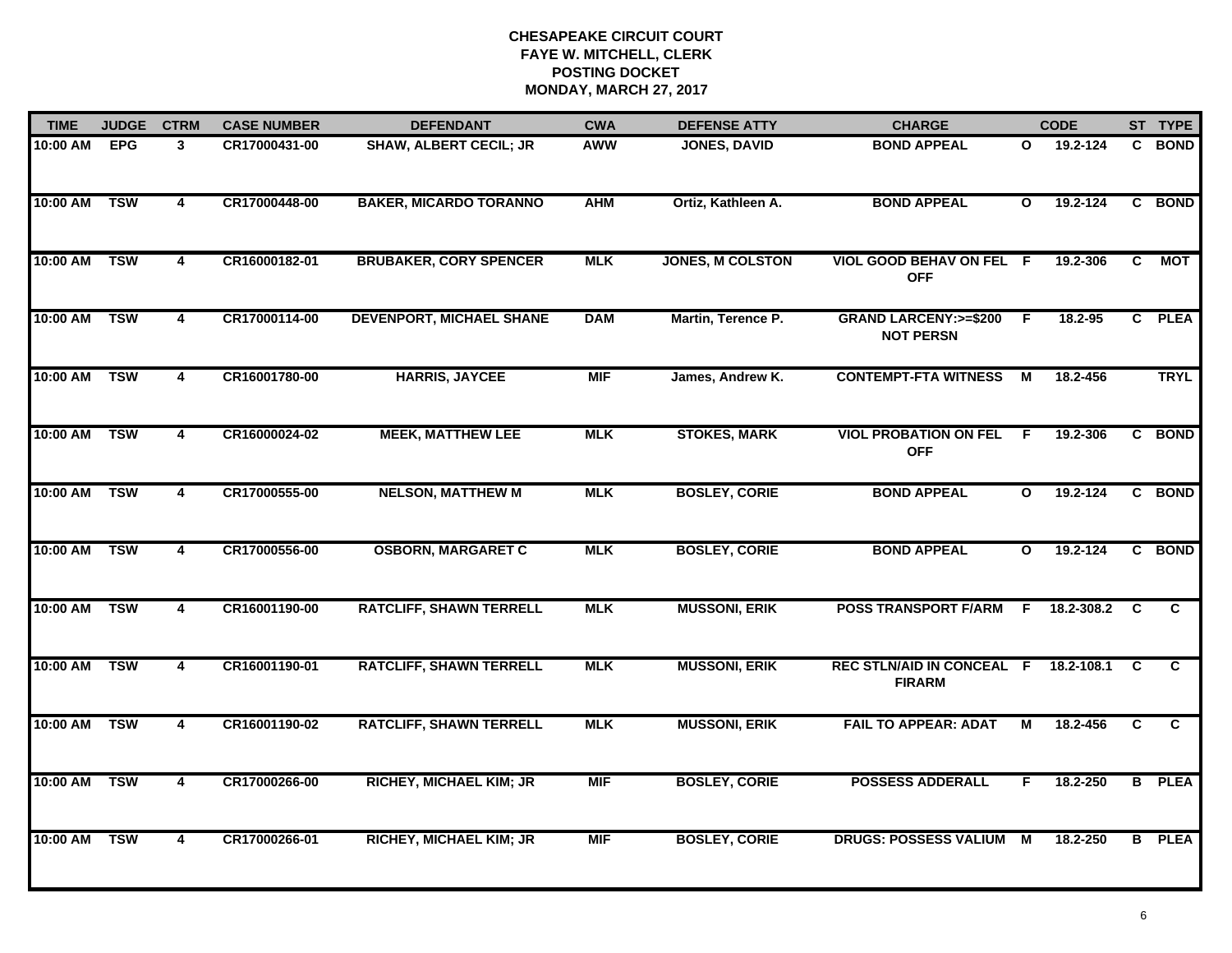| <b>TIME</b> | <b>JUDGE</b> | <b>CTRM</b>             | <b>CASE NUMBER</b> | <b>DEFENDANT</b>                | <b>CWA</b> | <b>DEFENSE ATTY</b>     | <b>CHARGE</b>                                        |              | <b>CODE</b> |                | ST TYPE       |
|-------------|--------------|-------------------------|--------------------|---------------------------------|------------|-------------------------|------------------------------------------------------|--------------|-------------|----------------|---------------|
| 10:00 AM    | <b>EPG</b>   | 3                       | CR17000431-00      | <b>SHAW, ALBERT CECIL; JR</b>   | <b>AWW</b> | <b>JONES, DAVID</b>     | <b>BOND APPEAL</b>                                   | O            | 19.2-124    |                | C BOND        |
| 10:00 AM    | <b>TSW</b>   | $\overline{\mathbf{4}}$ | CR17000448-00      | <b>BAKER, MICARDO TORANNO</b>   | <b>AHM</b> | Ortiz, Kathleen A.      | <b>BOND APPEAL</b>                                   | $\mathbf{o}$ | 19.2-124    |                | C BOND        |
| 10:00 AM    | <b>TSW</b>   | $\overline{\mathbf{4}}$ | CR16000182-01      | <b>BRUBAKER, CORY SPENCER</b>   | <b>MLK</b> | <b>JONES, M COLSTON</b> | VIOL GOOD BEHAV ON FEL F<br><b>OFF</b>               |              | 19.2-306    | C              | <b>MOT</b>    |
| 10:00 AM    | <b>TSW</b>   | 4                       | CR17000114-00      | <b>DEVENPORT, MICHAEL SHANE</b> | <b>DAM</b> | Martin, Terence P.      | <b>GRAND LARCENY: &gt;=\$200</b><br><b>NOT PERSN</b> | -F           | $18.2 - 95$ |                | C PLEA        |
| 10:00 AM    | <b>TSW</b>   | 4                       | CR16001780-00      | <b>HARRIS, JAYCEE</b>           | <b>MIF</b> | James, Andrew K.        | <b>CONTEMPT-FTA WITNESS</b>                          | М            | 18.2-456    |                | <b>TRYL</b>   |
| 10:00 AM    | <b>TSW</b>   | 4                       | CR16000024-02      | <b>MEEK, MATTHEW LEE</b>        | <b>MLK</b> | <b>STOKES, MARK</b>     | <b>VIOL PROBATION ON FEL</b><br><b>OFF</b>           | -F           | 19.2-306    |                | C BOND        |
| 10:00 AM    | <b>TSW</b>   | 4                       | CR17000555-00      | <b>NELSON, MATTHEW M</b>        | <b>MLK</b> | <b>BOSLEY, CORIE</b>    | <b>BOND APPEAL</b>                                   | $\mathbf{o}$ | 19.2-124    |                | C BOND        |
| 10:00 AM    | <b>TSW</b>   | 4                       | CR17000556-00      | <b>OSBORN, MARGARET C</b>       | <b>MLK</b> | <b>BOSLEY, CORIE</b>    | <b>BOND APPEAL</b>                                   | $\mathbf{o}$ | 19.2-124    |                | C BOND        |
| 10:00 AM    | <b>TSW</b>   | 4                       | CR16001190-00      | <b>RATCLIFF, SHAWN TERRELL</b>  | <b>MLK</b> | <b>MUSSONI, ERIK</b>    | <b>POSS TRANSPORT F/ARM</b>                          | F.           | 18.2-308.2  | <b>C</b>       | C.            |
| 10:00 AM    | <b>TSW</b>   | 4                       | CR16001190-01      | <b>RATCLIFF, SHAWN TERRELL</b>  | <b>MLK</b> | <b>MUSSONI, ERIK</b>    | <b>REC STLN/AID IN CONCEAL F</b><br><b>FIRARM</b>    |              | 18.2-108.1  | C              | $\mathbf{c}$  |
| 10:00 AM    | <b>TSW</b>   | $\overline{\mathbf{4}}$ | CR16001190-02      | <b>RATCLIFF, SHAWN TERRELL</b>  | <b>MLK</b> | <b>MUSSONI, ERIK</b>    | <b>FAIL TO APPEAR: ADAT</b>                          | м            | 18.2-456    | $\overline{c}$ | C             |
| 10:00 AM    | <b>TSW</b>   | $\overline{\mathbf{4}}$ | CR17000266-00      | <b>RICHEY, MICHAEL KIM; JR</b>  | <b>MIF</b> | <b>BOSLEY, CORIE</b>    | <b>POSSESS ADDERALL</b>                              | F.           | 18.2-250    |                | <b>B</b> PLEA |
| 10:00 AM    | <b>TSW</b>   | 4                       | CR17000266-01      | <b>RICHEY, MICHAEL KIM; JR</b>  | <b>MIF</b> | <b>BOSLEY, CORIE</b>    | DRUGS: POSSESS VALIUM M                              |              | 18.2-250    |                | <b>B</b> PLEA |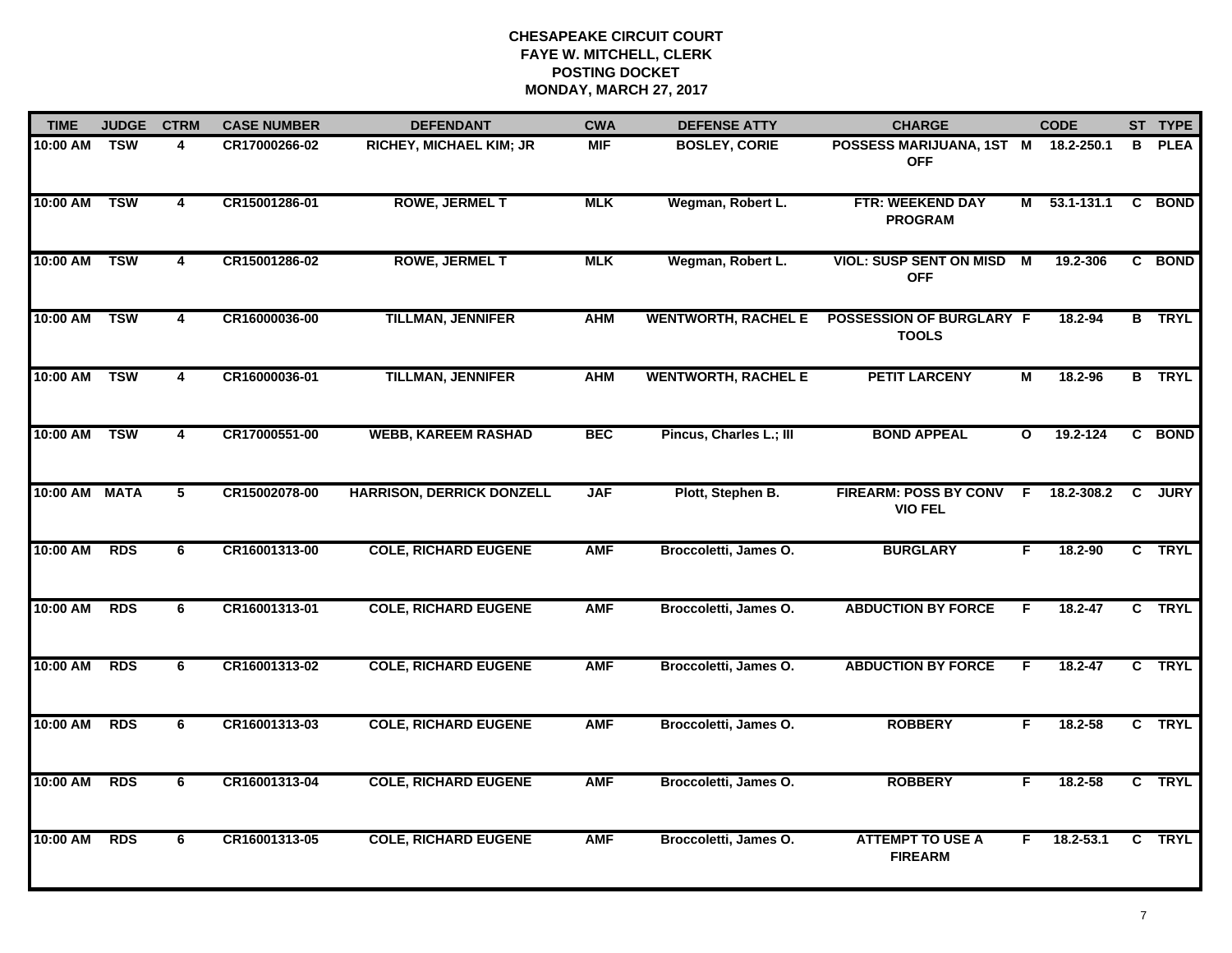| <b>TIME</b> | <b>JUDGE</b> | <b>CTRM</b>    | <b>CASE NUMBER</b> | <b>DEFENDANT</b>                 | <b>CWA</b> | <b>DEFENSE ATTY</b>        | <b>CHARGE</b>                                     |              | <b>CODE</b>    |   | ST TYPE       |
|-------------|--------------|----------------|--------------------|----------------------------------|------------|----------------------------|---------------------------------------------------|--------------|----------------|---|---------------|
| 10:00 AM    | <b>TSW</b>   | 4              | CR17000266-02      | RICHEY, MICHAEL KIM; JR          | <b>MIF</b> | <b>BOSLEY, CORIE</b>       | POSSESS MARIJUANA, 1ST M 18.2-250.1<br><b>OFF</b> |              |                | B | <b>PLEA</b>   |
| 10:00 AM    | <b>TSW</b>   | 4              | CR15001286-01      | <b>ROWE, JERMEL T</b>            | <b>MLK</b> | Wegman, Robert L.          | FTR: WEEKEND DAY<br><b>PROGRAM</b>                | М            | $53.1 - 131.1$ |   | C BOND        |
| 10:00 AM    | <b>TSW</b>   | $\overline{4}$ | CR15001286-02      | <b>ROWE, JERMEL T</b>            | <b>MLK</b> | Wegman, Robert L.          | <b>VIOL: SUSP SENT ON MISD</b><br><b>OFF</b>      | M            | 19.2-306       |   | C BOND        |
| 10:00 AM    | <b>TSW</b>   | 4              | CR16000036-00      | <b>TILLMAN, JENNIFER</b>         | <b>AHM</b> | <b>WENTWORTH, RACHEL E</b> | <b>POSSESSION OF BURGLARY F</b><br><b>TOOLS</b>   |              | 18.2-94        |   | <b>B</b> TRYL |
| 10:00 AM    | <b>TSW</b>   | 4              | CR16000036-01      | <b>TILLMAN, JENNIFER</b>         | <b>AHM</b> | <b>WENTWORTH, RACHEL E</b> | <b>PETIT LARCENY</b>                              | М            | 18.2-96        |   | <b>B</b> TRYL |
| 10:00 AM    | <b>TSW</b>   | 4              | CR17000551-00      | <b>WEBB, KAREEM RASHAD</b>       | <b>BEC</b> | Pincus, Charles L.; III    | <b>BOND APPEAL</b>                                | $\mathbf{o}$ | 19.2-124       |   | C BOND        |
| 10:00 AM    | <b>MATA</b>  | $\overline{5}$ | CR15002078-00      | <b>HARRISON, DERRICK DONZELL</b> | <b>JAF</b> | Plott, Stephen B.          | <b>FIREARM: POSS BY CONV</b><br><b>VIO FEL</b>    | F.           | 18.2-308.2     | C | <b>JURY</b>   |
| 10:00 AM    | <b>RDS</b>   | 6              | CR16001313-00      | <b>COLE, RICHARD EUGENE</b>      | <b>AMF</b> | Broccoletti, James O.      | <b>BURGLARY</b>                                   | F            | 18.2-90        |   | C TRYL        |
| 10:00 AM    | <b>RDS</b>   | 6              | CR16001313-01      | <b>COLE, RICHARD EUGENE</b>      | <b>AMF</b> | Broccoletti, James O.      | <b>ABDUCTION BY FORCE</b>                         | F            | 18.2-47        |   | C TRYL        |
| 10:00 AM    | <b>RDS</b>   | 6              | CR16001313-02      | <b>COLE, RICHARD EUGENE</b>      | <b>AMF</b> | Broccoletti, James O.      | <b>ABDUCTION BY FORCE</b>                         | F.           | 18.2-47        |   | C TRYL        |
| 10:00 AM    | <b>RDS</b>   | 6              | CR16001313-03      | <b>COLE, RICHARD EUGENE</b>      | <b>AMF</b> | Broccoletti, James O.      | <b>ROBBERY</b>                                    | F.           | 18.2-58        |   | C TRYL        |
| 10:00 AM    | <b>RDS</b>   | 6              | CR16001313-04      | <b>COLE, RICHARD EUGENE</b>      | <b>AMF</b> | Broccoletti, James O.      | <b>ROBBERY</b>                                    | F.           | 18.2-58        |   | C TRYL        |
| 10:00 AM    | <b>RDS</b>   | 6              | CR16001313-05      | <b>COLE, RICHARD EUGENE</b>      | <b>AMF</b> | Broccoletti, James O.      | <b>ATTEMPT TO USE A</b><br><b>FIREARM</b>         | F.           | 18.2-53.1      |   | C TRYL        |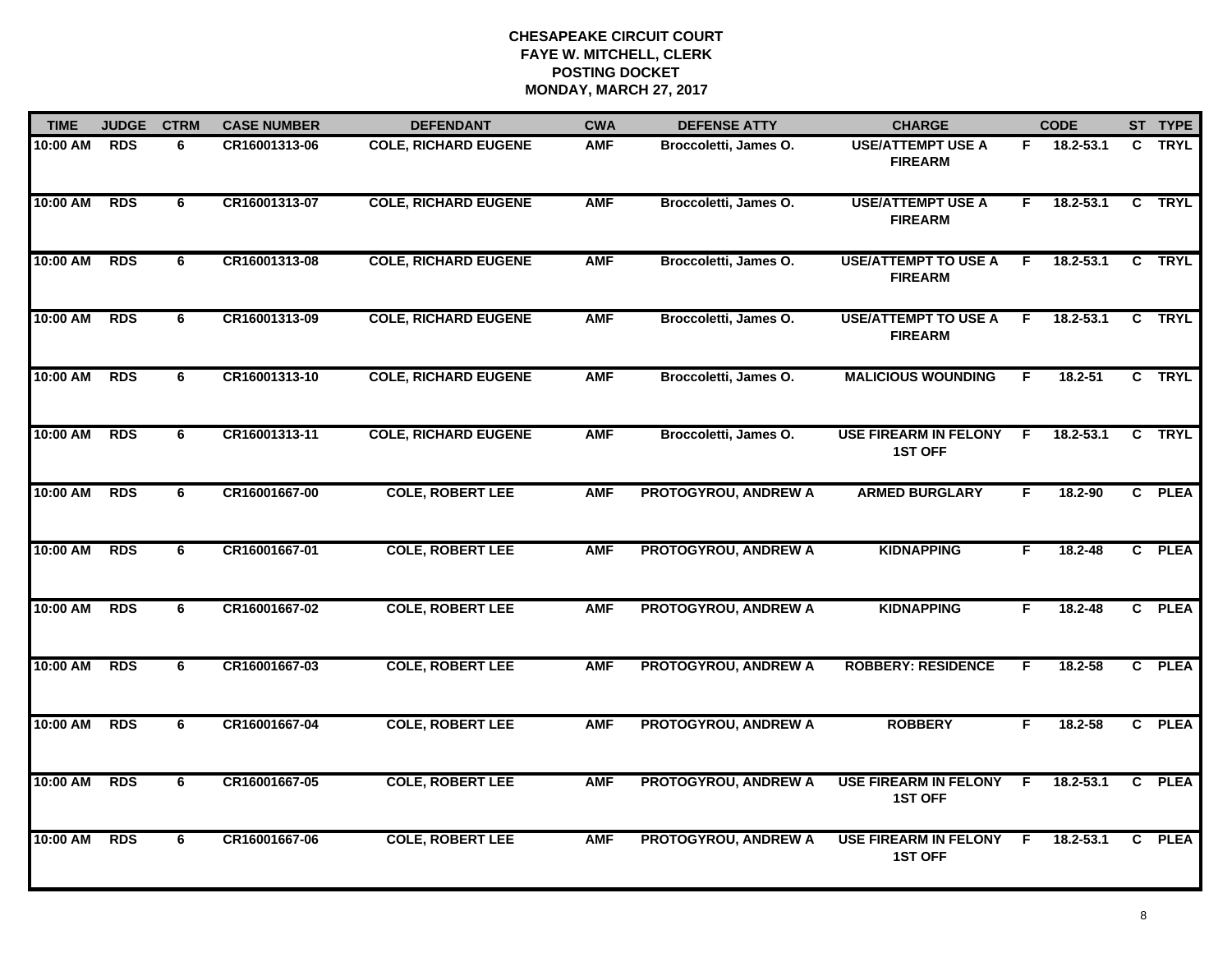| <b>TIME</b> | <b>JUDGE</b> | <b>CTRM</b> | <b>CASE NUMBER</b> | <b>DEFENDANT</b>            | <b>CWA</b> | <b>DEFENSE ATTY</b>         | <b>CHARGE</b>                                  |    | <b>CODE</b>   |                | ST TYPE     |
|-------------|--------------|-------------|--------------------|-----------------------------|------------|-----------------------------|------------------------------------------------|----|---------------|----------------|-------------|
| 10:00 AM    | <b>RDS</b>   | 6           | CR16001313-06      | <b>COLE, RICHARD EUGENE</b> | <b>AMF</b> | Broccoletti, James O.       | <b>USE/ATTEMPT USE A</b><br><b>FIREARM</b>     | F. | 18.2-53.1     | C.             | <b>TRYL</b> |
| 10:00 AM    | <b>RDS</b>   | 6           | CR16001313-07      | <b>COLE, RICHARD EUGENE</b> | <b>AMF</b> | Broccoletti, James O.       | <b>USE/ATTEMPT USE A</b><br><b>FIREARM</b>     | F  | $18.2 - 53.1$ | $\overline{c}$ | <b>TRYL</b> |
| 10:00 AM    | <b>RDS</b>   | 6           | CR16001313-08      | <b>COLE, RICHARD EUGENE</b> | <b>AMF</b> | Broccoletti, James O.       | <b>USE/ATTEMPT TO USE A</b><br><b>FIREARM</b>  | F. | $18.2 - 53.1$ |                | C TRYL      |
| 10:00 AM    | <b>RDS</b>   | 6           | CR16001313-09      | <b>COLE, RICHARD EUGENE</b> | <b>AMF</b> | Broccoletti, James O.       | <b>USE/ATTEMPT TO USE A</b><br><b>FIREARM</b>  | F. | 18.2-53.1     | C.             | <b>TRYL</b> |
| 10:00 AM    | <b>RDS</b>   | 6           | CR16001313-10      | <b>COLE, RICHARD EUGENE</b> | <b>AMF</b> | Broccoletti, James O.       | <b>MALICIOUS WOUNDING</b>                      | F. | 18.2-51       |                | C TRYL      |
| 10:00 AM    | <b>RDS</b>   | 6           | CR16001313-11      | <b>COLE, RICHARD EUGENE</b> | <b>AMF</b> | Broccoletti, James O.       | <b>USE FIREARM IN FELONY</b><br><b>1ST OFF</b> | F. | $18.2 - 53.1$ | C              | TRYL        |
| 10:00 AM    | <b>RDS</b>   | 6           | CR16001667-00      | <b>COLE, ROBERT LEE</b>     | <b>AMF</b> | PROTOGYROU, ANDREW A        | <b>ARMED BURGLARY</b>                          | F. | 18.2-90       |                | C PLEA      |
| 10:00 AM    | <b>RDS</b>   | 6           | CR16001667-01      | <b>COLE, ROBERT LEE</b>     | <b>AMF</b> | <b>PROTOGYROU, ANDREW A</b> | <b>KIDNAPPING</b>                              | F. | 18.2-48       |                | C PLEA      |
| 10:00 AM    | <b>RDS</b>   | 6           | CR16001667-02      | <b>COLE, ROBERT LEE</b>     | <b>AMF</b> | <b>PROTOGYROU, ANDREW A</b> | <b>KIDNAPPING</b>                              | F. | 18.2-48       |                | C PLEA      |
| 10:00 AM    | <b>RDS</b>   | 6           | CR16001667-03      | <b>COLE, ROBERT LEE</b>     | <b>AMF</b> | <b>PROTOGYROU, ANDREW A</b> | <b>ROBBERY: RESIDENCE</b>                      | F. | $18.2 - 58$   |                | C PLEA      |
| 10:00 AM    | <b>RDS</b>   | 6           | CR16001667-04      | <b>COLE, ROBERT LEE</b>     | <b>AMF</b> | PROTOGYROU, ANDREW A        | <b>ROBBERY</b>                                 | F. | 18.2-58       |                | C PLEA      |
| 10:00 AM    | <b>RDS</b>   | 6           | CR16001667-05      | <b>COLE, ROBERT LEE</b>     | <b>AMF</b> | <b>PROTOGYROU, ANDREW A</b> | <b>USE FIREARM IN FELONY</b><br><b>1ST OFF</b> | F. | 18.2-53.1     | $\overline{c}$ | <b>PLEA</b> |
| 10:00 AM    | <b>RDS</b>   | 6           | CR16001667-06      | <b>COLE, ROBERT LEE</b>     | <b>AMF</b> | <b>PROTOGYROU, ANDREW A</b> | <b>USE FIREARM IN FELONY</b><br><b>1ST OFF</b> | F. | $18.2 - 53.1$ |                | C PLEA      |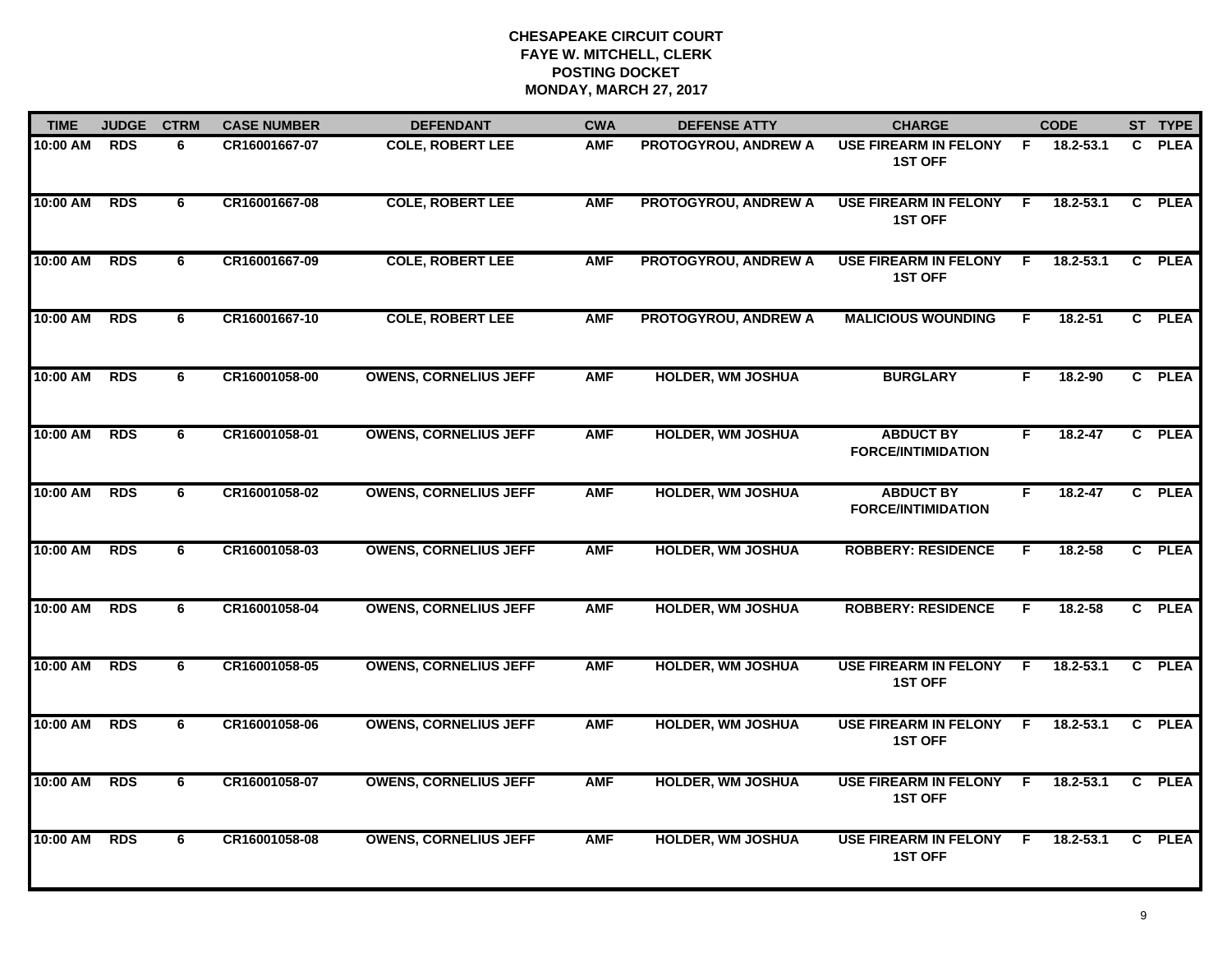| <b>TIME</b> | <b>JUDGE</b> | <b>CTRM</b> | <b>CASE NUMBER</b> | <b>DEFENDANT</b>             | <b>CWA</b> | <b>DEFENSE ATTY</b>         | <b>CHARGE</b>                                  |     | <b>CODE</b>   |                | ST TYPE     |
|-------------|--------------|-------------|--------------------|------------------------------|------------|-----------------------------|------------------------------------------------|-----|---------------|----------------|-------------|
| 10:00 AM    | <b>RDS</b>   | 6           | CR16001667-07      | <b>COLE, ROBERT LEE</b>      | <b>AMF</b> | PROTOGYROU, ANDREW A        | <b>USE FIREARM IN FELONY</b><br><b>1ST OFF</b> | F.  | 18.2-53.1     | C              | <b>PLEA</b> |
| 10:00 AM    | <b>RDS</b>   | 6           | CR16001667-08      | <b>COLE, ROBERT LEE</b>      | <b>AMF</b> | <b>PROTOGYROU, ANDREW A</b> | <b>USE FIREARM IN FELONY</b><br><b>1ST OFF</b> | F.  | $18.2 - 53.1$ | C              | <b>PLEA</b> |
| 10:00 AM    | <b>RDS</b>   | 6           | CR16001667-09      | <b>COLE, ROBERT LEE</b>      | <b>AMF</b> | <b>PROTOGYROU, ANDREW A</b> | <b>USE FIREARM IN FELONY</b><br><b>1ST OFF</b> | F   | 18.2-53.1     | $\mathbf{c}$   | <b>PLEA</b> |
| 10:00 AM    | <b>RDS</b>   | 6           | CR16001667-10      | <b>COLE, ROBERT LEE</b>      | <b>AMF</b> | <b>PROTOGYROU, ANDREW A</b> | <b>MALICIOUS WOUNDING</b>                      | F.  | 18.2-51       | $\mathbf{C}$   | <b>PLEA</b> |
| 10:00 AM    | <b>RDS</b>   | 6           | CR16001058-00      | <b>OWENS, CORNELIUS JEFF</b> | <b>AMF</b> | <b>HOLDER, WM JOSHUA</b>    | <b>BURGLARY</b>                                | F.  | 18.2-90       |                | C PLEA      |
| 10:00 AM    | <b>RDS</b>   | 6           | CR16001058-01      | <b>OWENS, CORNELIUS JEFF</b> | <b>AMF</b> | <b>HOLDER, WM JOSHUA</b>    | <b>ABDUCT BY</b><br><b>FORCE/INTIMIDATION</b>  | F   | $18.2 - 47$   |                | C PLEA      |
| 10:00 AM    | <b>RDS</b>   | 6           | CR16001058-02      | <b>OWENS, CORNELIUS JEFF</b> | <b>AMF</b> | <b>HOLDER, WM JOSHUA</b>    | <b>ABDUCT BY</b><br><b>FORCE/INTIMIDATION</b>  | F.  | 18.2-47       | $\mathbf{c}$   | <b>PLEA</b> |
| 10:00 AM    | <b>RDS</b>   | 6           | CR16001058-03      | <b>OWENS, CORNELIUS JEFF</b> | <b>AMF</b> | <b>HOLDER, WM JOSHUA</b>    | <b>ROBBERY: RESIDENCE</b>                      | F   | 18.2-58       |                | C PLEA      |
| 10:00 AM    | <b>RDS</b>   | 6           | CR16001058-04      | <b>OWENS, CORNELIUS JEFF</b> | <b>AMF</b> | <b>HOLDER, WM JOSHUA</b>    | <b>ROBBERY: RESIDENCE</b>                      | F   | 18.2-58       | $\mathbf{c}$   | <b>PLEA</b> |
| 10:00 AM    | <b>RDS</b>   | 6           | CR16001058-05      | <b>OWENS, CORNELIUS JEFF</b> | <b>AMF</b> | <b>HOLDER, WM JOSHUA</b>    | <b>USE FIREARM IN FELONY</b><br><b>1ST OFF</b> | F   | $18.2 - 53.1$ | C.             | <b>PLEA</b> |
| 10:00 AM    | <b>RDS</b>   | 6           | CR16001058-06      | <b>OWENS, CORNELIUS JEFF</b> | <b>AMF</b> | <b>HOLDER, WM JOSHUA</b>    | <b>USE FIREARM IN FELONY</b><br><b>1ST OFF</b> | -F  | 18.2-53.1     | $\mathbf{c}$   | <b>PLEA</b> |
| 10:00 AM    | <b>RDS</b>   | 6           | CR16001058-07      | <b>OWENS, CORNELIUS JEFF</b> | <b>AMF</b> | <b>HOLDER, WM JOSHUA</b>    | <b>USE FIREARM IN FELONY</b><br><b>1ST OFF</b> | - F | 18.2-53.1     | C.             | <b>PLEA</b> |
| 10:00 AM    | <b>RDS</b>   | 6           | CR16001058-08      | <b>OWENS, CORNELIUS JEFF</b> | <b>AMF</b> | <b>HOLDER, WM JOSHUA</b>    | <b>USE FIREARM IN FELONY</b><br><b>1ST OFF</b> | E   | $18.2 - 53.1$ | $\overline{c}$ | <b>PLEA</b> |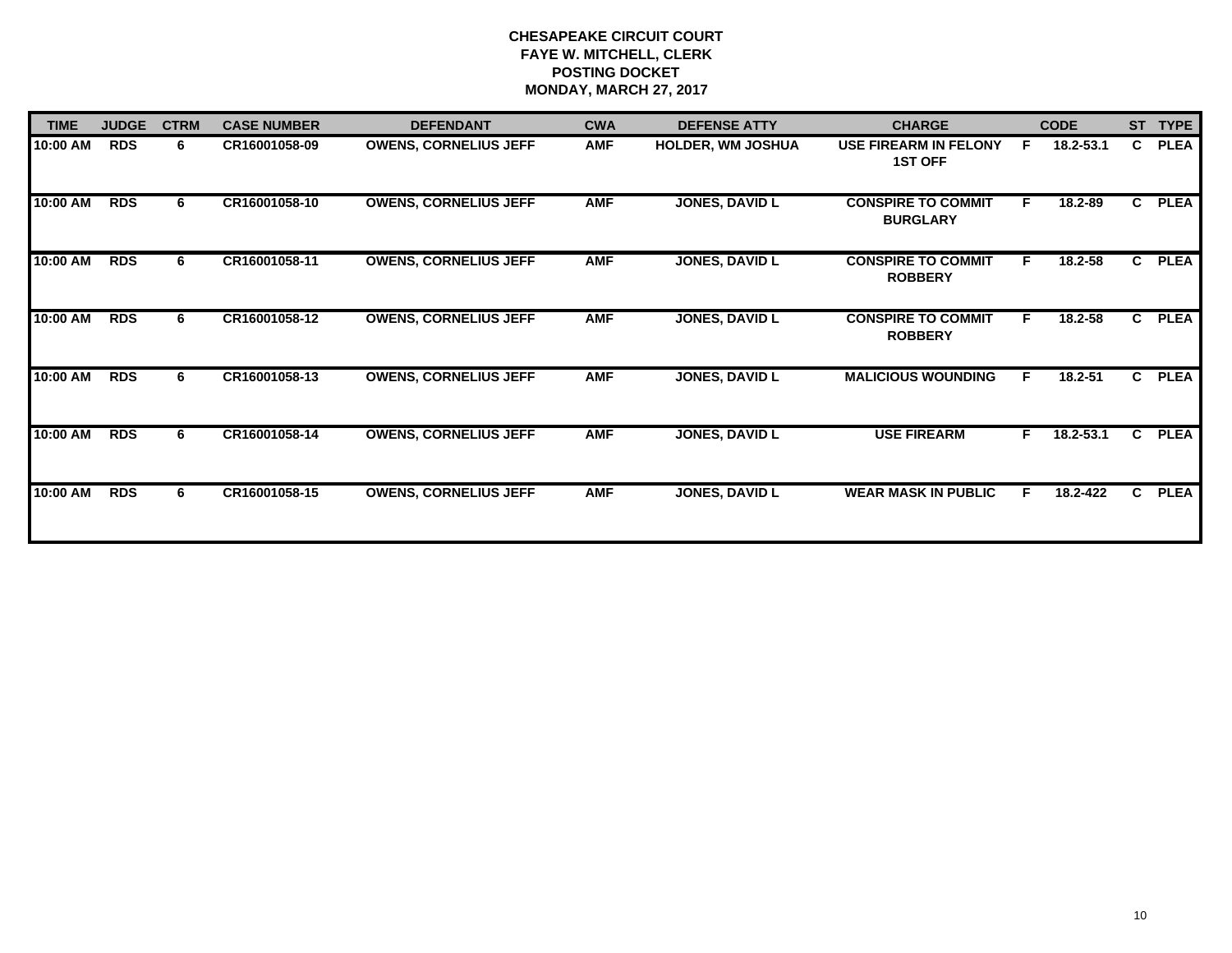| <b>TIME</b> | <b>JUDGE</b> | <b>CTRM</b> | <b>CASE NUMBER</b> | <b>DEFENDANT</b>             | <b>CWA</b> | <b>DEFENSE ATTY</b>      | <b>CHARGE</b>                                  |    | <b>CODE</b> |    | ST TYPE     |
|-------------|--------------|-------------|--------------------|------------------------------|------------|--------------------------|------------------------------------------------|----|-------------|----|-------------|
| 10:00 AM    | <b>RDS</b>   | 6           | CR16001058-09      | <b>OWENS, CORNELIUS JEFF</b> | <b>AMF</b> | <b>HOLDER, WM JOSHUA</b> | <b>USE FIREARM IN FELONY</b><br><b>1ST OFF</b> | F. | 18.2-53.1   | C  | <b>PLEA</b> |
| 10:00 AM    | <b>RDS</b>   | 6           | CR16001058-10      | <b>OWENS, CORNELIUS JEFF</b> | <b>AMF</b> | <b>JONES, DAVID L</b>    | <b>CONSPIRE TO COMMIT</b><br><b>BURGLARY</b>   | F. | 18.2-89     | C. | <b>PLEA</b> |
| 10:00 AM    | <b>RDS</b>   | 6           | CR16001058-11      | <b>OWENS, CORNELIUS JEFF</b> | <b>AMF</b> | <b>JONES, DAVID L</b>    | <b>CONSPIRE TO COMMIT</b><br><b>ROBBERY</b>    | F  | 18.2-58     | C. | <b>PLEA</b> |
| $10:00$ AM  | <b>RDS</b>   | 6.          | CR16001058-12      | <b>OWENS, CORNELIUS JEFF</b> | <b>AMF</b> | <b>JONES, DAVID L</b>    | <b>CONSPIRE TO COMMIT</b><br><b>ROBBERY</b>    | F  | 18.2-58     | C. | <b>PLEA</b> |
| 10:00 AM    | <b>RDS</b>   | 6           | CR16001058-13      | <b>OWENS, CORNELIUS JEFF</b> | <b>AMF</b> | <b>JONES, DAVID L</b>    | <b>MALICIOUS WOUNDING</b>                      | F. | 18.2-51     | C. | <b>PLEA</b> |
| 10:00 AM    | <b>RDS</b>   | 6           | CR16001058-14      | <b>OWENS, CORNELIUS JEFF</b> | <b>AMF</b> | <b>JONES, DAVID L</b>    | <b>USE FIREARM</b>                             | F  | 18.2-53.1   | C  | <b>PLEA</b> |
| $10:00$ AM  | <b>RDS</b>   | 6           | CR16001058-15      | <b>OWENS, CORNELIUS JEFF</b> | <b>AMF</b> | <b>JONES, DAVID L</b>    | <b>WEAR MASK IN PUBLIC</b>                     | F. | 18.2-422    | C. | <b>PLEA</b> |